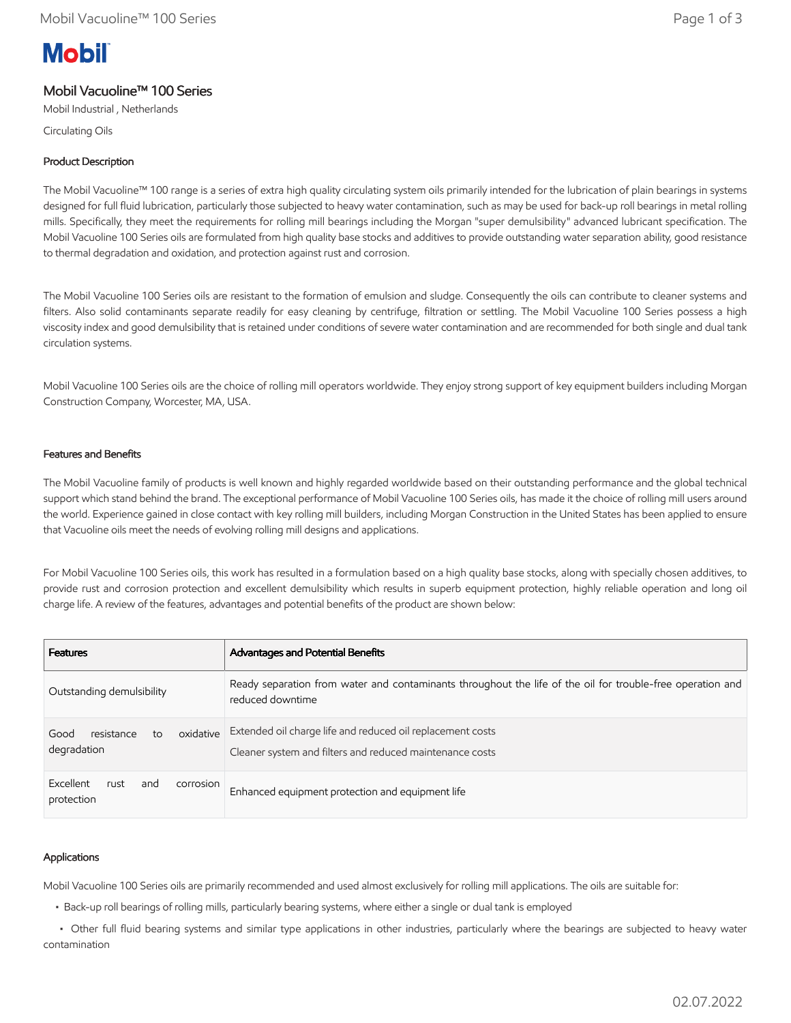# **Mobil**

# Mobil Vacuoline™ 100 Series

Mobil Industrial , Netherlands

Circulating Oils

## Product Description

The Mobil Vacuoline™ 100 range is a series of extra high quality circulating system oils primarily intended for the lubrication of plain bearings in systems designed for full fluid lubrication, particularly those subjected to heavy water contamination, such as may be used for back-up roll bearings in metal rolling mills. Specifically, they meet the requirements for rolling mill bearings including the Morgan "super demulsibility" advanced lubricant specification. The Mobil Vacuoline 100 Series oils are formulated from high quality base stocks and additives to provide outstanding water separation ability, good resistance to thermal degradation and oxidation, and protection against rust and corrosion.

The Mobil Vacuoline 100 Series oils are resistant to the formation of emulsion and sludge. Consequently the oils can contribute to cleaner systems and filters. Also solid contaminants separate readily for easy cleaning by centrifuge, filtration or settling. The Mobil Vacuoline 100 Series possess a high viscosity index and good demulsibility that is retained under conditions of severe water contamination and are recommended for both single and dual tank circulation systems.

Mobil Vacuoline 100 Series oils are the choice of rolling mill operators worldwide. They enjoy strong support of key equipment builders including Morgan Construction Company, Worcester, MA, USA.

## Features and Benefits

The Mobil Vacuoline family of products is well known and highly regarded worldwide based on their outstanding performance and the global technical support which stand behind the brand. The exceptional performance of Mobil Vacuoline 100 Series oils, has made it the choice of rolling mill users around the world. Experience gained in close contact with key rolling mill builders, including Morgan Construction in the United States has been applied to ensure that Vacuoline oils meet the needs of evolving rolling mill designs and applications.

For Mobil Vacuoline 100 Series oils, this work has resulted in a formulation based on a high quality base stocks, along with specially chosen additives, to provide rust and corrosion protection and excellent demulsibility which results in superb equipment protection, highly reliable operation and long oil charge life. A review of the features, advantages and potential benefits of the product are shown below:

| <b>Features</b>                                      | Advantages and Potential Benefits                                                                                              |
|------------------------------------------------------|--------------------------------------------------------------------------------------------------------------------------------|
| Outstanding demulsibility                            | Ready separation from water and contaminants throughout the life of the oil for trouble-free operation and<br>reduced downtime |
| oxidative<br>resistance<br>Good<br>to<br>degradation | Extended oil charge life and reduced oil replacement costs<br>Cleaner system and filters and reduced maintenance costs         |
| Excellent<br>rust<br>corrosion<br>and<br>protection  | Enhanced equipment protection and equipment life                                                                               |

## Applications

Mobil Vacuoline 100 Series oils are primarily recommended and used almost exclusively for rolling mill applications. The oils are suitable for:

• Back-up roll bearings of rolling mills, particularly bearing systems, where either a single or dual tank is employed

 • Other full fluid bearing systems and similar type applications in other industries, particularly where the bearings are subjected to heavy water contamination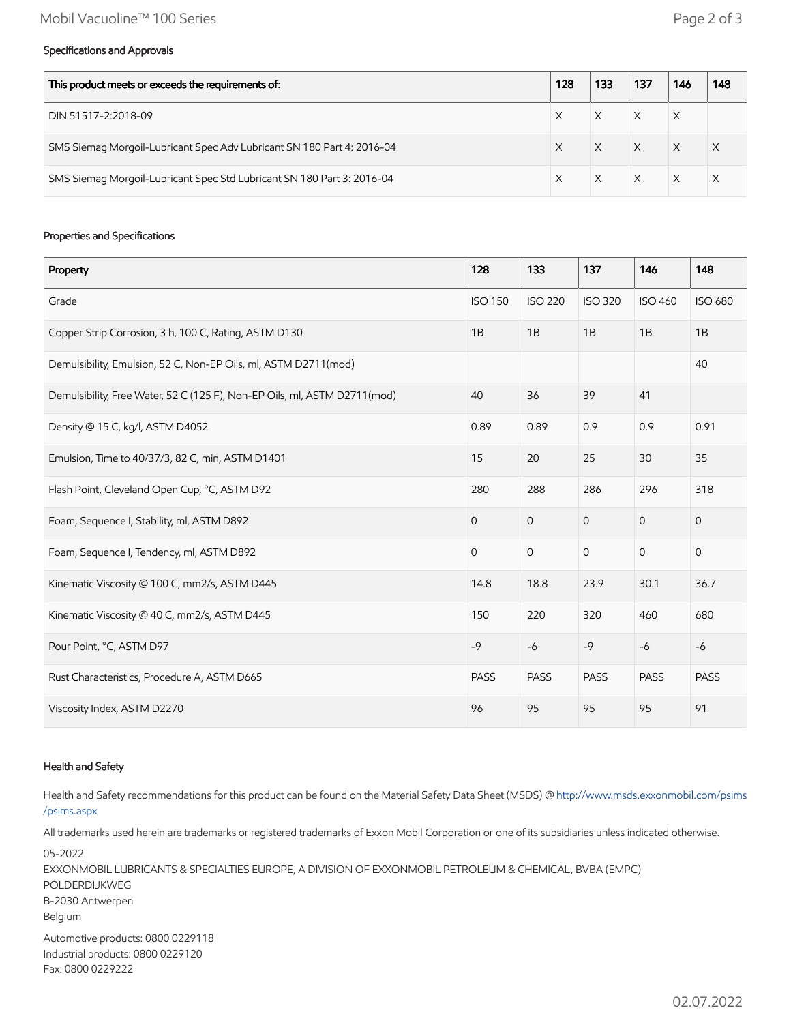#### Specifications and Approvals

| This product meets or exceeds the requirements of:                     |  | 133 | 137      | 146          | 148          |
|------------------------------------------------------------------------|--|-----|----------|--------------|--------------|
| DIN 51517-2:2018-09                                                    |  |     | $\times$ | X            |              |
| SMS Siemag Morgoil-Lubricant Spec Adv Lubricant SN 180 Part 4: 2016-04 |  |     | $\times$ | $\mathsf{X}$ | $\mathsf{X}$ |
| SMS Siemag Morgoil-Lubricant Spec Std Lubricant SN 180 Part 3: 2016-04 |  |     | $\times$ | $\times$     |              |

#### Properties and Specifications

| Property                                                                  | 128            | 133            | 137            | 146            | 148                 |
|---------------------------------------------------------------------------|----------------|----------------|----------------|----------------|---------------------|
| Grade                                                                     | <b>ISO 150</b> | <b>ISO 220</b> | <b>ISO 320</b> | <b>ISO 460</b> | <b>ISO 680</b>      |
| Copper Strip Corrosion, 3 h, 100 C, Rating, ASTM D130                     |                | 1B             | 1B             | 1B             | 1B                  |
| Demulsibility, Emulsion, 52 C, Non-EP Oils, ml, ASTM D2711(mod)           |                |                |                |                | 40                  |
| Demulsibility, Free Water, 52 C (125 F), Non-EP Oils, ml, ASTM D2711(mod) | 40             | 36             | 39             | 41             |                     |
| Density @ 15 C, kg/l, ASTM D4052                                          | 0.89           | 0.89           | 0.9            | 0.9            | 0.91                |
| Emulsion, Time to 40/37/3, 82 C, min, ASTM D1401                          | 15             | 20             | 25             | 30             | 35                  |
| Flash Point, Cleveland Open Cup, °C, ASTM D92                             | 280            | 288            | 286            | 296            | 318                 |
| Foam, Sequence I, Stability, ml, ASTM D892                                |                | $\overline{0}$ | $\mathbf{O}$   | $\overline{0}$ | $\mathsf{O}\xspace$ |
| Foam, Sequence I, Tendency, ml, ASTM D892                                 |                | $\mathbf 0$    | $\mathbf 0$    | $\overline{0}$ | $\mathsf{O}\xspace$ |
| Kinematic Viscosity @ 100 C, mm2/s, ASTM D445                             | 14.8           | 18.8           | 23.9           | 30.1           | 36.7                |
| Kinematic Viscosity @ 40 C, mm2/s, ASTM D445                              | 150            | 220            | 320            | 460            | 680                 |
| Pour Point, °C, ASTM D97                                                  |                | $-6$           | $-9$           | $-6$           | $-6$                |
| Rust Characteristics, Procedure A, ASTM D665                              |                | <b>PASS</b>    | <b>PASS</b>    | <b>PASS</b>    | <b>PASS</b>         |
| Viscosity Index, ASTM D2270                                               | 96             | 95             | 95             | 95             | 91                  |

#### Health and Safety

Health and Safety recommendations for this product can be found on the Material Safety Data Sheet (MSDS) @ [http://www.msds.exxonmobil.com/psims](http://www.msds.exxonmobil.com/psims/psims.aspx) /psims.aspx

All trademarks used herein are trademarks or registered trademarks of Exxon Mobil Corporation or one of its subsidiaries unless indicated otherwise.

05-2022 EXXONMOBIL LUBRICANTS & SPECIALTIES EUROPE, A DIVISION OF EXXONMOBIL PETROLEUM & CHEMICAL, BVBA (EMPC) POLDERDIJKWEG B-2030 Antwerpen Belgium Automotive products: 0800 0229118 Industrial products: 0800 0229120 Fax: 0800 0229222